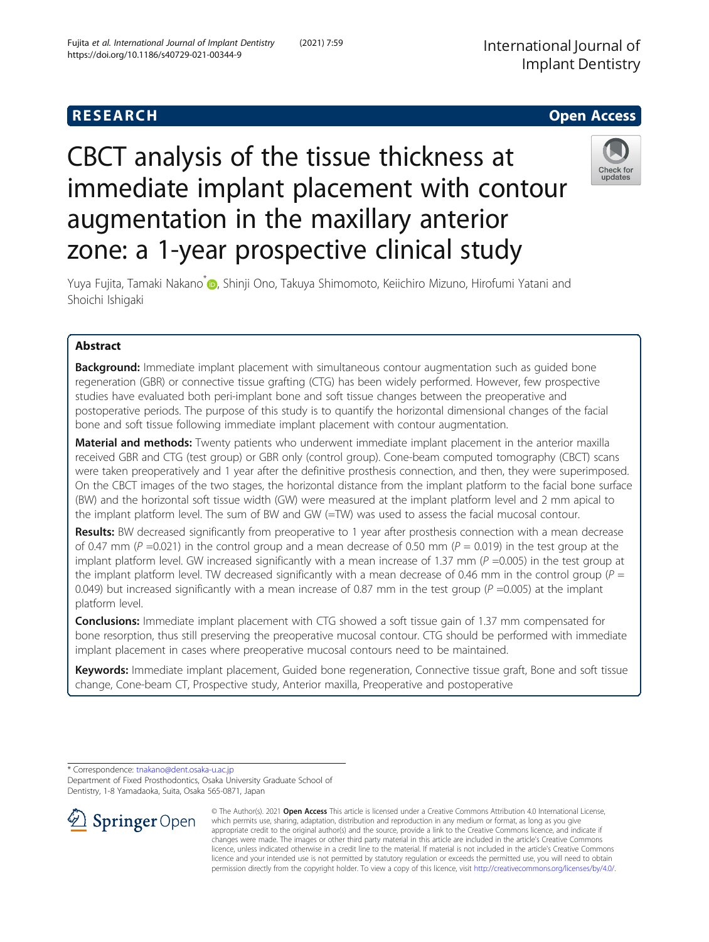# **RESEARCH CHE Open Access**

# CBCT analysis of the tissue thickness at immediate implant placement with contour augmentation in the maxillary anterior zone: a 1-year prospective clinical study



Yuya Fujita[,](http://orcid.org/0000-0002-8000-230X) Tamaki Nakano<sup>\*</sup> , Shinji Ono, Takuya Shimomoto, Keiichiro Mizuno, Hirofumi Yatani and Shoichi Ishigaki

# Abstract

**Background:** Immediate implant placement with simultaneous contour augmentation such as quided bone regeneration (GBR) or connective tissue grafting (CTG) has been widely performed. However, few prospective studies have evaluated both peri-implant bone and soft tissue changes between the preoperative and postoperative periods. The purpose of this study is to quantify the horizontal dimensional changes of the facial bone and soft tissue following immediate implant placement with contour augmentation.

Material and methods: Twenty patients who underwent immediate implant placement in the anterior maxilla received GBR and CTG (test group) or GBR only (control group). Cone-beam computed tomography (CBCT) scans were taken preoperatively and 1 year after the definitive prosthesis connection, and then, they were superimposed. On the CBCT images of the two stages, the horizontal distance from the implant platform to the facial bone surface (BW) and the horizontal soft tissue width (GW) were measured at the implant platform level and 2 mm apical to the implant platform level. The sum of BW and GW (=TW) was used to assess the facial mucosal contour.

Results: BW decreased significantly from preoperative to 1 year after prosthesis connection with a mean decrease of 0.47 mm ( $P = 0.021$ ) in the control group and a mean decrease of 0.50 mm ( $P = 0.019$ ) in the test group at the implant platform level. GW increased significantly with a mean increase of 1.37 mm ( $P = 0.005$ ) in the test group at the implant platform level. TW decreased significantly with a mean decrease of 0.46 mm in the control group ( $P =$ 0.049) but increased significantly with a mean increase of 0.87 mm in the test group ( $P = 0.005$ ) at the implant platform level.

**Conclusions:** Immediate implant placement with CTG showed a soft tissue gain of 1.37 mm compensated for bone resorption, thus still preserving the preoperative mucosal contour. CTG should be performed with immediate implant placement in cases where preoperative mucosal contours need to be maintained.

Keywords: Immediate implant placement, Guided bone regeneration, Connective tissue graft, Bone and soft tissue change, Cone-beam CT, Prospective study, Anterior maxilla, Preoperative and postoperative

\* Correspondence: [tnakano@dent.osaka-u.ac.jp](mailto:tnakano@dent.osaka-u.ac.jp) Department of Fixed Prosthodontics, Osaka University Graduate School of Dentistry, 1-8 Yamadaoka, Suita, Osaka 565-0871, Japan



© The Author(s). 2021 Open Access This article is licensed under a Creative Commons Attribution 4.0 International License, which permits use, sharing, adaptation, distribution and reproduction in any medium or format, as long as you give appropriate credit to the original author(s) and the source, provide a link to the Creative Commons licence, and indicate if changes were made. The images or other third party material in this article are included in the article's Creative Commons licence, unless indicated otherwise in a credit line to the material. If material is not included in the article's Creative Commons licence and your intended use is not permitted by statutory regulation or exceeds the permitted use, you will need to obtain permission directly from the copyright holder. To view a copy of this licence, visit <http://creativecommons.org/licenses/by/4.0/>.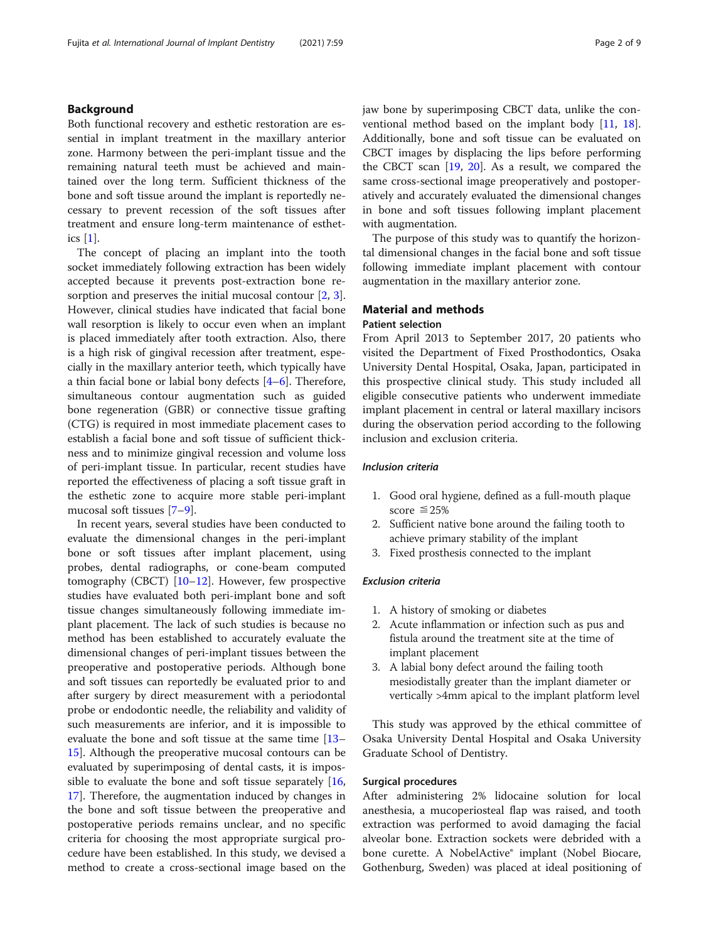#### Background

Both functional recovery and esthetic restoration are essential in implant treatment in the maxillary anterior zone. Harmony between the peri-implant tissue and the remaining natural teeth must be achieved and maintained over the long term. Sufficient thickness of the bone and soft tissue around the implant is reportedly necessary to prevent recession of the soft tissues after treatment and ensure long-term maintenance of esthetics [[1](#page-7-0)].

The concept of placing an implant into the tooth socket immediately following extraction has been widely accepted because it prevents post-extraction bone re-sorption and preserves the initial mucosal contour [\[2](#page-7-0), [3](#page-7-0)]. However, clinical studies have indicated that facial bone wall resorption is likely to occur even when an implant is placed immediately after tooth extraction. Also, there is a high risk of gingival recession after treatment, especially in the maxillary anterior teeth, which typically have a thin facial bone or labial bony defects  $[4-6]$  $[4-6]$  $[4-6]$ . Therefore, simultaneous contour augmentation such as guided bone regeneration (GBR) or connective tissue grafting (CTG) is required in most immediate placement cases to establish a facial bone and soft tissue of sufficient thickness and to minimize gingival recession and volume loss of peri-implant tissue. In particular, recent studies have reported the effectiveness of placing a soft tissue graft in the esthetic zone to acquire more stable peri-implant mucosal soft tissues [\[7](#page-7-0)–[9\]](#page-7-0).

In recent years, several studies have been conducted to evaluate the dimensional changes in the peri-implant bone or soft tissues after implant placement, using probes, dental radiographs, or cone-beam computed tomography (CBCT) [[10](#page-7-0)–[12](#page-7-0)]. However, few prospective studies have evaluated both peri-implant bone and soft tissue changes simultaneously following immediate implant placement. The lack of such studies is because no method has been established to accurately evaluate the dimensional changes of peri-implant tissues between the preoperative and postoperative periods. Although bone and soft tissues can reportedly be evaluated prior to and after surgery by direct measurement with a periodontal probe or endodontic needle, the reliability and validity of such measurements are inferior, and it is impossible to evaluate the bone and soft tissue at the same time [[13](#page-7-0)– [15\]](#page-7-0). Although the preoperative mucosal contours can be evaluated by superimposing of dental casts, it is impossible to evaluate the bone and soft tissue separately  $[16, 16]$  $[16, 16]$  $[16, 16]$ [17\]](#page-7-0). Therefore, the augmentation induced by changes in the bone and soft tissue between the preoperative and postoperative periods remains unclear, and no specific criteria for choosing the most appropriate surgical procedure have been established. In this study, we devised a method to create a cross-sectional image based on the

jaw bone by superimposing CBCT data, unlike the conventional method based on the implant body [[11,](#page-7-0) [18](#page-8-0)]. Additionally, bone and soft tissue can be evaluated on CBCT images by displacing the lips before performing the CBCT scan [\[19,](#page-8-0) [20](#page-8-0)]. As a result, we compared the same cross-sectional image preoperatively and postoperatively and accurately evaluated the dimensional changes in bone and soft tissues following implant placement with augmentation.

The purpose of this study was to quantify the horizontal dimensional changes in the facial bone and soft tissue following immediate implant placement with contour augmentation in the maxillary anterior zone.

#### Material and methods

#### Patient selection

From April 2013 to September 2017, 20 patients who visited the Department of Fixed Prosthodontics, Osaka University Dental Hospital, Osaka, Japan, participated in this prospective clinical study. This study included all eligible consecutive patients who underwent immediate implant placement in central or lateral maxillary incisors during the observation period according to the following inclusion and exclusion criteria.

#### Inclusion criteria

- 1. Good oral hygiene, defined as a full-mouth plaque score  $\leq 25\%$
- 2. Sufficient native bone around the failing tooth to achieve primary stability of the implant
- 3. Fixed prosthesis connected to the implant

#### Exclusion criteria

- 1. A history of smoking or diabetes
- 2. Acute inflammation or infection such as pus and fistula around the treatment site at the time of implant placement
- 3. A labial bony defect around the failing tooth mesiodistally greater than the implant diameter or vertically >4mm apical to the implant platform level

This study was approved by the ethical committee of Osaka University Dental Hospital and Osaka University Graduate School of Dentistry.

#### Surgical procedures

After administering 2% lidocaine solution for local anesthesia, a mucoperiosteal flap was raised, and tooth extraction was performed to avoid damaging the facial alveolar bone. Extraction sockets were debrided with a bone curette. A NobelActive® implant (Nobel Biocare, Gothenburg, Sweden) was placed at ideal positioning of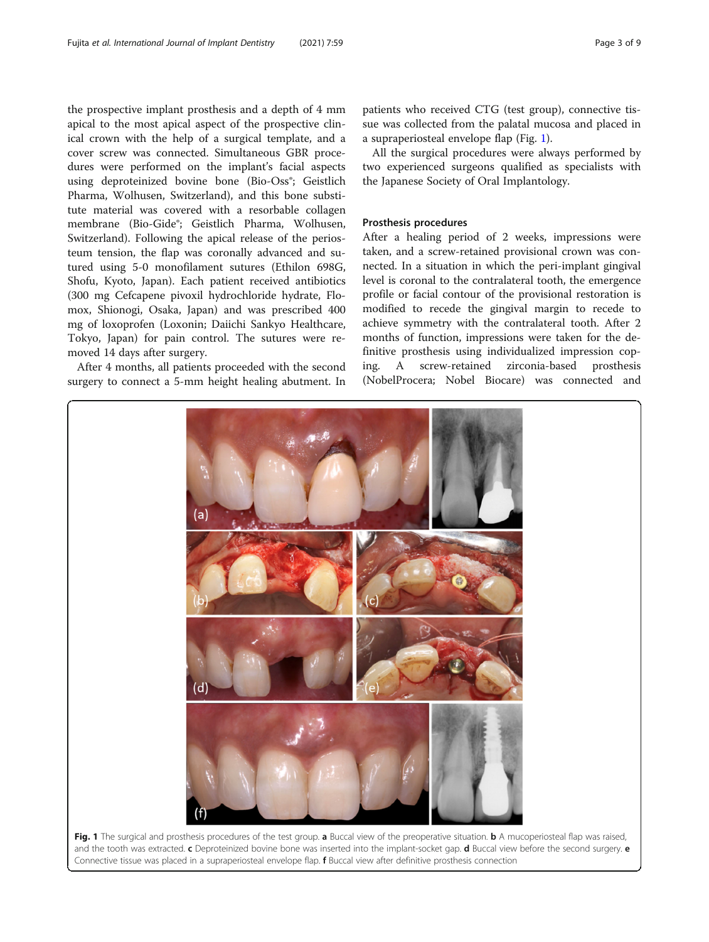<span id="page-2-0"></span>the prospective implant prosthesis and a depth of 4 mm apical to the most apical aspect of the prospective clinical crown with the help of a surgical template, and a cover screw was connected. Simultaneous GBR procedures were performed on the implant's facial aspects using deproteinized bovine bone (Bio-Oss<sup>®</sup>; Geistlich Pharma, Wolhusen, Switzerland), and this bone substitute material was covered with a resorbable collagen membrane (Bio-Gide®; Geistlich Pharma, Wolhusen, Switzerland). Following the apical release of the periosteum tension, the flap was coronally advanced and sutured using 5-0 monofilament sutures (Ethilon 698G, Shofu, Kyoto, Japan). Each patient received antibiotics (300 mg Cefcapene pivoxil hydrochloride hydrate, Flomox, Shionogi, Osaka, Japan) and was prescribed 400 mg of loxoprofen (Loxonin; Daiichi Sankyo Healthcare, Tokyo, Japan) for pain control. The sutures were removed 14 days after surgery.

After 4 months, all patients proceeded with the second surgery to connect a 5-mm height healing abutment. In

patients who received CTG (test group), connective tissue was collected from the palatal mucosa and placed in a supraperiosteal envelope flap (Fig. 1).

All the surgical procedures were always performed by two experienced surgeons qualified as specialists with the Japanese Society of Oral Implantology.

### Prosthesis procedures

After a healing period of 2 weeks, impressions were taken, and a screw-retained provisional crown was connected. In a situation in which the peri-implant gingival level is coronal to the contralateral tooth, the emergence profile or facial contour of the provisional restoration is modified to recede the gingival margin to recede to achieve symmetry with the contralateral tooth. After 2 months of function, impressions were taken for the definitive prosthesis using individualized impression coping. A screw-retained zirconia-based prosthesis (NobelProcera; Nobel Biocare) was connected and



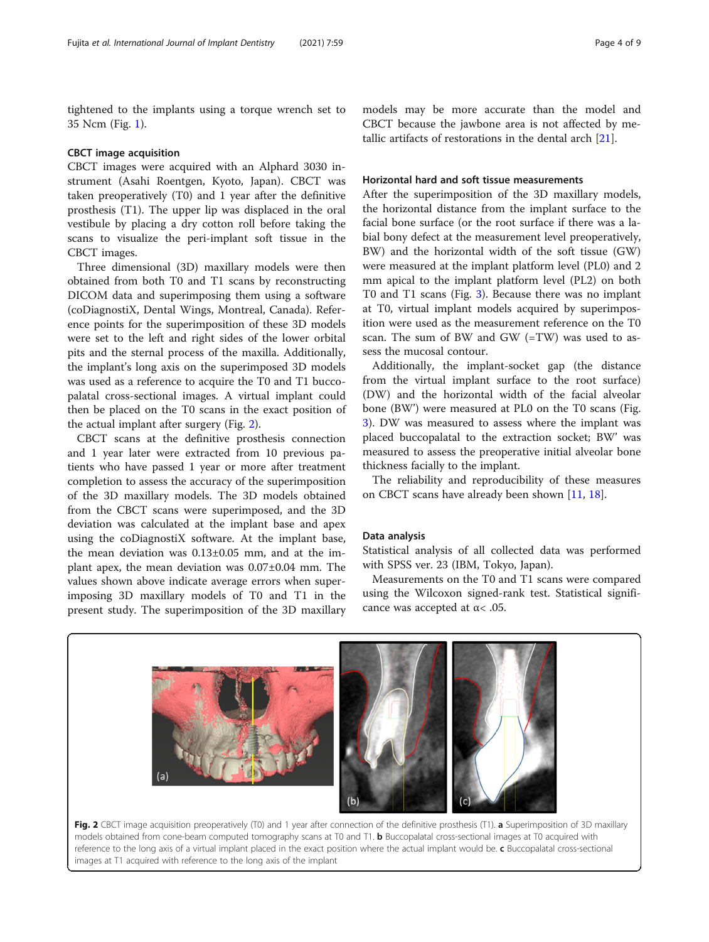tightened to the implants using a torque wrench set to 35 Ncm (Fig. [1\)](#page-2-0).

#### CBCT image acquisition

CBCT images were acquired with an Alphard 3030 instrument (Asahi Roentgen, Kyoto, Japan). CBCT was taken preoperatively (T0) and 1 year after the definitive prosthesis (T1). The upper lip was displaced in the oral vestibule by placing a dry cotton roll before taking the scans to visualize the peri-implant soft tissue in the CBCT images.

Three dimensional (3D) maxillary models were then obtained from both T0 and T1 scans by reconstructing DICOM data and superimposing them using a software (coDiagnostiX, Dental Wings, Montreal, Canada). Reference points for the superimposition of these 3D models were set to the left and right sides of the lower orbital pits and the sternal process of the maxilla. Additionally, the implant's long axis on the superimposed 3D models was used as a reference to acquire the T0 and T1 buccopalatal cross-sectional images. A virtual implant could then be placed on the T0 scans in the exact position of the actual implant after surgery (Fig. 2).

CBCT scans at the definitive prosthesis connection and 1 year later were extracted from 10 previous patients who have passed 1 year or more after treatment completion to assess the accuracy of the superimposition of the 3D maxillary models. The 3D models obtained from the CBCT scans were superimposed, and the 3D deviation was calculated at the implant base and apex using the coDiagnostiX software. At the implant base, the mean deviation was 0.13±0.05 mm, and at the implant apex, the mean deviation was 0.07±0.04 mm. The values shown above indicate average errors when superimposing 3D maxillary models of T0 and T1 in the present study. The superimposition of the 3D maxillary models may be more accurate than the model and CBCT because the jawbone area is not affected by metallic artifacts of restorations in the dental arch [\[21](#page-8-0)].

#### Horizontal hard and soft tissue measurements

After the superimposition of the 3D maxillary models, the horizontal distance from the implant surface to the facial bone surface (or the root surface if there was a labial bony defect at the measurement level preoperatively, BW) and the horizontal width of the soft tissue (GW) were measured at the implant platform level (PL0) and 2 mm apical to the implant platform level (PL2) on both T0 and T1 scans (Fig. [3\)](#page-4-0). Because there was no implant at T0, virtual implant models acquired by superimposition were used as the measurement reference on the T0 scan. The sum of BW and GW (=TW) was used to assess the mucosal contour.

Additionally, the implant-socket gap (the distance from the virtual implant surface to the root surface) (DW) and the horizontal width of the facial alveolar bone (BW') were measured at PL0 on the T0 scans (Fig. [3\)](#page-4-0). DW was measured to assess where the implant was placed buccopalatal to the extraction socket; BW' was measured to assess the preoperative initial alveolar bone thickness facially to the implant.

The reliability and reproducibility of these measures on CBCT scans have already been shown [[11,](#page-7-0) [18\]](#page-8-0).

#### Data analysis

Statistical analysis of all collected data was performed with SPSS ver. 23 (IBM, Tokyo, Japan).

Measurements on the T0 and T1 scans were compared using the Wilcoxon signed-rank test. Statistical significance was accepted at  $\alpha$ < .05.



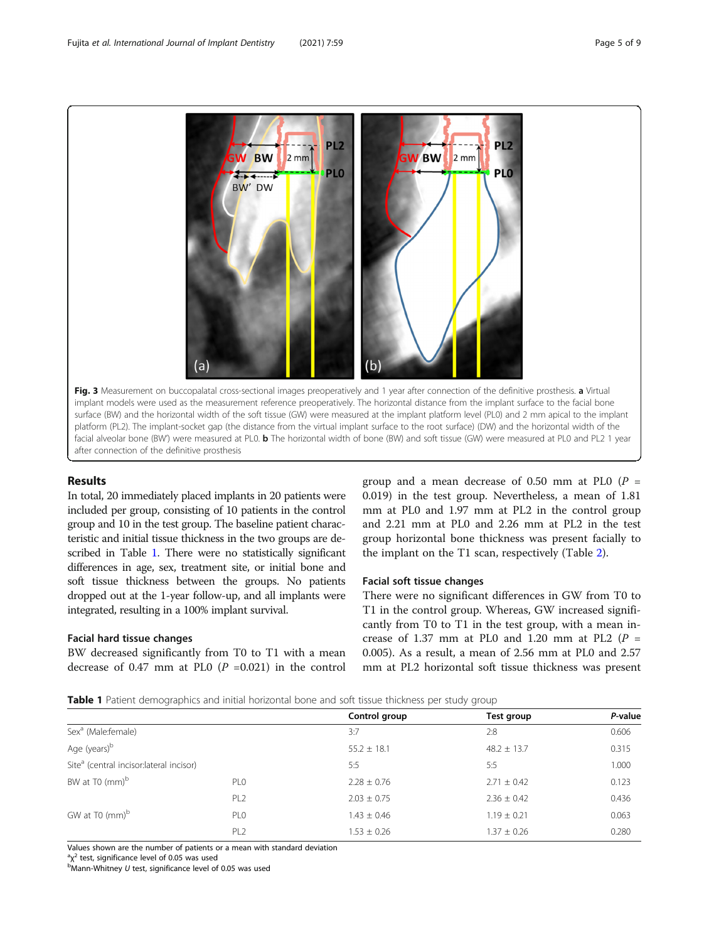<span id="page-4-0"></span>

#### Results

In total, 20 immediately placed implants in 20 patients were included per group, consisting of 10 patients in the control group and 10 in the test group. The baseline patient characteristic and initial tissue thickness in the two groups are described in Table 1. There were no statistically significant differences in age, sex, treatment site, or initial bone and soft tissue thickness between the groups. No patients dropped out at the 1-year follow-up, and all implants were integrated, resulting in a 100% implant survival.

#### Facial hard tissue changes

BW decreased significantly from T0 to T1 with a mean decrease of 0.47 mm at PL0  $(P = 0.021)$  in the control

group and a mean decrease of 0.50 mm at PL0 ( $P =$ 0.019) in the test group. Nevertheless, a mean of 1.81 mm at PL0 and 1.97 mm at PL2 in the control group and 2.21 mm at PL0 and 2.26 mm at PL2 in the test group horizontal bone thickness was present facially to the implant on the T1 scan, respectively (Table [2](#page-5-0)).

#### Facial soft tissue changes

There were no significant differences in GW from T0 to T1 in the control group. Whereas, GW increased significantly from T0 to T1 in the test group, with a mean increase of 1.37 mm at PL0 and 1.20 mm at PL2 ( $P =$ 0.005). As a result, a mean of 2.56 mm at PL0 and 2.57 mm at PL2 horizontal soft tissue thickness was present

Table 1 Patient demographics and initial horizontal bone and soft tissue thickness per study group

|                                                     |                 | Control group   | Test group      | P-value |
|-----------------------------------------------------|-----------------|-----------------|-----------------|---------|
| Sex <sup>a</sup> (Male:female)                      |                 | 3:7             | 2:8             | 0.606   |
| Age (years) <sup>b</sup>                            |                 | $55.2 \pm 18.1$ | $48.2 \pm 13.7$ | 0.315   |
| Site <sup>a</sup> (central incisor:lateral incisor) |                 | 5:5             | 5:5             | 1.000   |
| BW at T0 (mm) <sup>b</sup>                          | PL <sub>0</sub> | $2.28 \pm 0.76$ | $2.71 \pm 0.42$ | 0.123   |
|                                                     | PL <sub>2</sub> | $2.03 \pm 0.75$ | $2.36 \pm 0.42$ | 0.436   |
| GW at T0 (mm) <sup>b</sup>                          | PL <sub>0</sub> | $1.43 \pm 0.46$ | $1.19 \pm 0.21$ | 0.063   |
|                                                     | PL <sub>2</sub> | $1.53 \pm 0.26$ | $1.37 \pm 0.26$ | 0.280   |

Values shown are the number of patients or a mean with standard deviation

 $a_{\rm X}^2$  test, significance level of 0.05 was used<br>bMann-Whitney *II* test, significance level of

 $<sup>b</sup>$ Mann-Whitney U test, significance level of 0.05 was used</sup>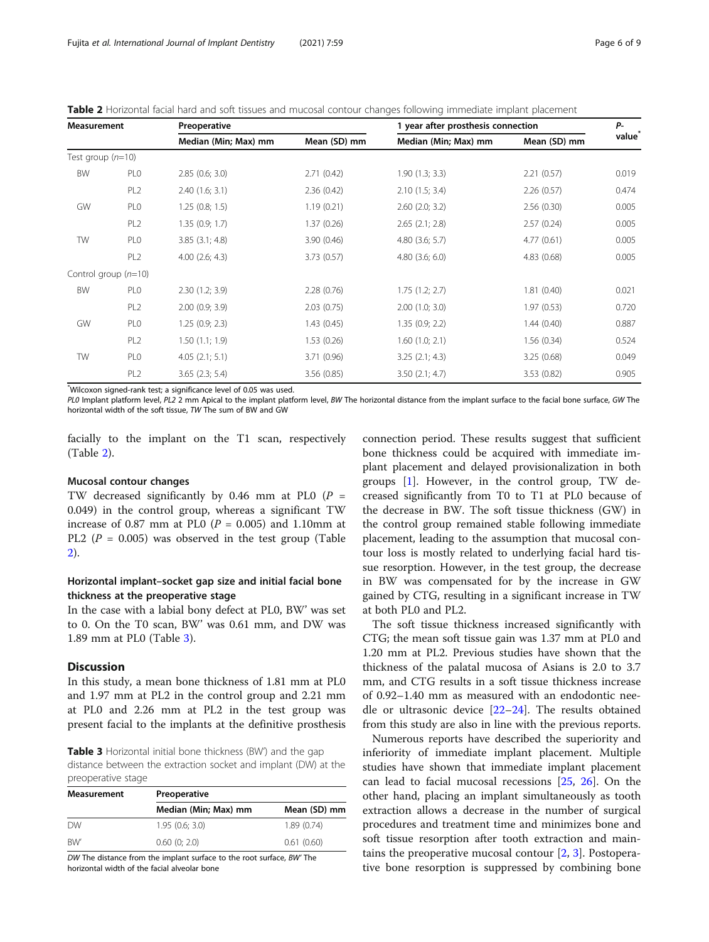<span id="page-5-0"></span>Table 2 Horizontal facial hard and soft tissues and mucosal contour changes following immediate implant placement

| <b>Measurement</b>  |                        | Preoperative         |              | 1 year after prosthesis connection |              | $P-$  |
|---------------------|------------------------|----------------------|--------------|------------------------------------|--------------|-------|
|                     |                        | Median (Min; Max) mm | Mean (SD) mm | Median (Min; Max) mm               | Mean (SD) mm | value |
| Test group $(n=10)$ |                        |                      |              |                                    |              |       |
| BW                  | PL <sub>0</sub>        | 2.85(0.6; 3.0)       | 2.71(0.42)   | 1.90(1.3; 3.3)                     | 2.21(0.57)   | 0.019 |
|                     | PL <sub>2</sub>        | 2.40(1.6; 3.1)       | 2.36(0.42)   | 2.10(1.5; 3.4)                     | 2.26(0.57)   | 0.474 |
| GW                  | PL <sub>0</sub>        | 1.25(0.8; 1.5)       | 1.19(0.21)   | $2.60$ $(2.0; 3.2)$                | 2.56(0.30)   | 0.005 |
|                     | PL <sub>2</sub>        | 1.35(0.9; 1.7)       | 1.37(0.26)   | $2.65$ $(2.1; 2.8)$                | 2.57(0.24)   | 0.005 |
| TW                  | PL <sub>0</sub>        | $3.85$ $(3.1; 4.8)$  | 3.90(0.46)   | $4.80$ $(3.6; 5.7)$                | 4.77(0.61)   | 0.005 |
|                     | PL <sub>2</sub>        | $4.00$ $(2.6; 4.3)$  | 3.73(0.57)   | $4.80$ $(3.6; 6.0)$                | 4.83(0.68)   | 0.005 |
|                     | Control group $(n=10)$ |                      |              |                                    |              |       |
| BW                  | PL <sub>0</sub>        | 2.30(1.2; 3.9)       | 2.28(0.76)   | 1.75(1.2; 2.7)                     | 1.81(0.40)   | 0.021 |
|                     | PL <sub>2</sub>        | 2.00(0.9; 3.9)       | 2.03(0.75)   | $2.00$ $(1.0; 3.0)$                | 1.97(0.53)   | 0.720 |
| GW                  | PL <sub>0</sub>        | 1.25(0.9; 2.3)       | 1.43(0.45)   | 1.35(0.9; 2.2)                     | 1.44(0.40)   | 0.887 |
|                     | PL <sub>2</sub>        | 1.50(1.1; 1.9)       | 1.53(0.26)   | $1.60$ $(1.0; 2.1)$                | 1.56(0.34)   | 0.524 |
| TW                  | PL <sub>0</sub>        | 4.05(2.1; 5.1)       | 3.71(0.96)   | $3.25$ $(2.1; 4.3)$                | 3.25(0.68)   | 0.049 |
|                     | PL <sub>2</sub>        | $3.65$ $(2.3; 5.4)$  | 3.56(0.85)   | 3.50(2.1; 4.7)                     | 3.53(0.82)   | 0.905 |
|                     |                        |                      |              |                                    |              |       |

\* Wilcoxon signed-rank test; a significance level of 0.05 was used.

PL0 Implant platform level, PL2 2 mm Apical to the implant platform level, BW The horizontal distance from the implant surface to the facial bone surface, GW The horizontal width of the soft tissue, TW The sum of BW and GW

facially to the implant on the T1 scan, respectively (Table 2).

#### Mucosal contour changes

TW decreased significantly by 0.46 mm at PL0  $(P =$ 0.049) in the control group, whereas a significant TW increase of 0.87 mm at PL0 ( $P = 0.005$ ) and 1.10mm at PL2 ( $P = 0.005$ ) was observed in the test group (Table 2).

#### Horizontal implant–socket gap size and initial facial bone thickness at the preoperative stage

In the case with a labial bony defect at PL0, BW' was set to 0. On the T0 scan, BW' was 0.61 mm, and DW was 1.89 mm at PL0 (Table 3).

#### **Discussion**

In this study, a mean bone thickness of 1.81 mm at PL0 and 1.97 mm at PL2 in the control group and 2.21 mm at PL0 and 2.26 mm at PL2 in the test group was present facial to the implants at the definitive prosthesis

Table 3 Horizontal initial bone thickness (BW') and the gap distance between the extraction socket and implant (DW) at the preoperative stage

| Measurement | Preoperative         |              |  |  |
|-------------|----------------------|--------------|--|--|
|             | Median (Min; Max) mm | Mean (SD) mm |  |  |
| <b>DW</b>   | 1.95(0.6; 3.0)       | 1.89(0.74)   |  |  |
| <b>BW</b>   | $0.60$ (0; 2.0)      | 0.61(0.60)   |  |  |

DW The distance from the implant surface to the root surface, BW' The horizontal width of the facial alveolar bone

connection period. These results suggest that sufficient bone thickness could be acquired with immediate implant placement and delayed provisionalization in both groups [[1\]](#page-7-0). However, in the control group, TW decreased significantly from T0 to T1 at PL0 because of the decrease in BW. The soft tissue thickness (GW) in the control group remained stable following immediate placement, leading to the assumption that mucosal contour loss is mostly related to underlying facial hard tissue resorption. However, in the test group, the decrease in BW was compensated for by the increase in GW gained by CTG, resulting in a significant increase in TW at both PL0 and PL2.

The soft tissue thickness increased significantly with CTG; the mean soft tissue gain was 1.37 mm at PL0 and 1.20 mm at PL2. Previous studies have shown that the thickness of the palatal mucosa of Asians is 2.0 to 3.7 mm, and CTG results in a soft tissue thickness increase of 0.92–1.40 mm as measured with an endodontic needle or ultrasonic device [[22](#page-8-0)–[24](#page-8-0)]. The results obtained from this study are also in line with the previous reports.

Numerous reports have described the superiority and inferiority of immediate implant placement. Multiple studies have shown that immediate implant placement can lead to facial mucosal recessions [\[25](#page-8-0), [26\]](#page-8-0). On the other hand, placing an implant simultaneously as tooth extraction allows a decrease in the number of surgical procedures and treatment time and minimizes bone and soft tissue resorption after tooth extraction and maintains the preoperative mucosal contour  $[2, 3]$  $[2, 3]$  $[2, 3]$  $[2, 3]$ . Postoperative bone resorption is suppressed by combining bone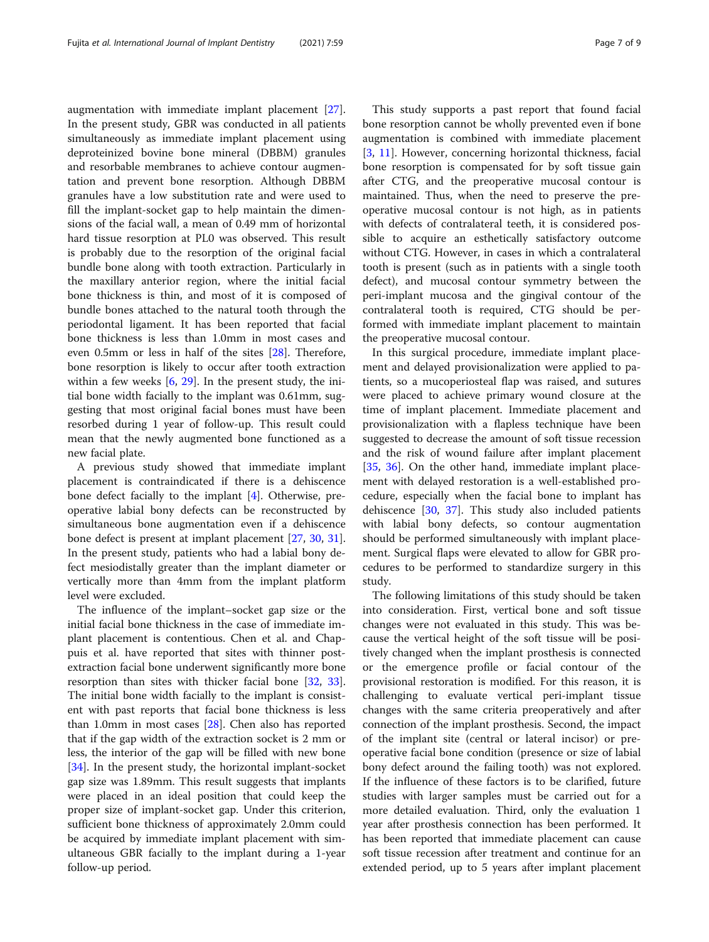augmentation with immediate implant placement [\[27](#page-8-0)]. In the present study, GBR was conducted in all patients simultaneously as immediate implant placement using deproteinized bovine bone mineral (DBBM) granules and resorbable membranes to achieve contour augmentation and prevent bone resorption. Although DBBM granules have a low substitution rate and were used to

fill the implant-socket gap to help maintain the dimensions of the facial wall, a mean of 0.49 mm of horizontal hard tissue resorption at PL0 was observed. This result is probably due to the resorption of the original facial bundle bone along with tooth extraction. Particularly in the maxillary anterior region, where the initial facial bone thickness is thin, and most of it is composed of bundle bones attached to the natural tooth through the periodontal ligament. It has been reported that facial bone thickness is less than 1.0mm in most cases and even 0.5mm or less in half of the sites [[28\]](#page-8-0). Therefore, bone resorption is likely to occur after tooth extraction within a few weeks  $[6, 29]$  $[6, 29]$  $[6, 29]$  $[6, 29]$ . In the present study, the initial bone width facially to the implant was 0.61mm, suggesting that most original facial bones must have been resorbed during 1 year of follow-up. This result could mean that the newly augmented bone functioned as a new facial plate.

A previous study showed that immediate implant placement is contraindicated if there is a dehiscence bone defect facially to the implant [[4\]](#page-7-0). Otherwise, preoperative labial bony defects can be reconstructed by simultaneous bone augmentation even if a dehiscence bone defect is present at implant placement [[27,](#page-8-0) [30,](#page-8-0) [31](#page-8-0)]. In the present study, patients who had a labial bony defect mesiodistally greater than the implant diameter or vertically more than 4mm from the implant platform level were excluded.

The influence of the implant–socket gap size or the initial facial bone thickness in the case of immediate implant placement is contentious. Chen et al. and Chappuis et al. have reported that sites with thinner postextraction facial bone underwent significantly more bone resorption than sites with thicker facial bone [[32](#page-8-0), [33](#page-8-0)]. The initial bone width facially to the implant is consistent with past reports that facial bone thickness is less than 1.0mm in most cases [\[28](#page-8-0)]. Chen also has reported that if the gap width of the extraction socket is 2 mm or less, the interior of the gap will be filled with new bone [[34\]](#page-8-0). In the present study, the horizontal implant-socket gap size was 1.89mm. This result suggests that implants were placed in an ideal position that could keep the proper size of implant-socket gap. Under this criterion, sufficient bone thickness of approximately 2.0mm could be acquired by immediate implant placement with simultaneous GBR facially to the implant during a 1-year follow-up period.

This study supports a past report that found facial bone resorption cannot be wholly prevented even if bone augmentation is combined with immediate placement [[3,](#page-7-0) [11](#page-7-0)]. However, concerning horizontal thickness, facial bone resorption is compensated for by soft tissue gain after CTG, and the preoperative mucosal contour is maintained. Thus, when the need to preserve the preoperative mucosal contour is not high, as in patients with defects of contralateral teeth, it is considered possible to acquire an esthetically satisfactory outcome without CTG. However, in cases in which a contralateral tooth is present (such as in patients with a single tooth defect), and mucosal contour symmetry between the peri-implant mucosa and the gingival contour of the contralateral tooth is required, CTG should be performed with immediate implant placement to maintain the preoperative mucosal contour.

In this surgical procedure, immediate implant placement and delayed provisionalization were applied to patients, so a mucoperiosteal flap was raised, and sutures were placed to achieve primary wound closure at the time of implant placement. Immediate placement and provisionalization with a flapless technique have been suggested to decrease the amount of soft tissue recession and the risk of wound failure after implant placement [[35,](#page-8-0) [36\]](#page-8-0). On the other hand, immediate implant placement with delayed restoration is a well-established procedure, especially when the facial bone to implant has dehiscence [\[30](#page-8-0), [37](#page-8-0)]. This study also included patients with labial bony defects, so contour augmentation should be performed simultaneously with implant placement. Surgical flaps were elevated to allow for GBR procedures to be performed to standardize surgery in this study.

The following limitations of this study should be taken into consideration. First, vertical bone and soft tissue changes were not evaluated in this study. This was because the vertical height of the soft tissue will be positively changed when the implant prosthesis is connected or the emergence profile or facial contour of the provisional restoration is modified. For this reason, it is challenging to evaluate vertical peri-implant tissue changes with the same criteria preoperatively and after connection of the implant prosthesis. Second, the impact of the implant site (central or lateral incisor) or preoperative facial bone condition (presence or size of labial bony defect around the failing tooth) was not explored. If the influence of these factors is to be clarified, future studies with larger samples must be carried out for a more detailed evaluation. Third, only the evaluation 1 year after prosthesis connection has been performed. It has been reported that immediate placement can cause soft tissue recession after treatment and continue for an extended period, up to 5 years after implant placement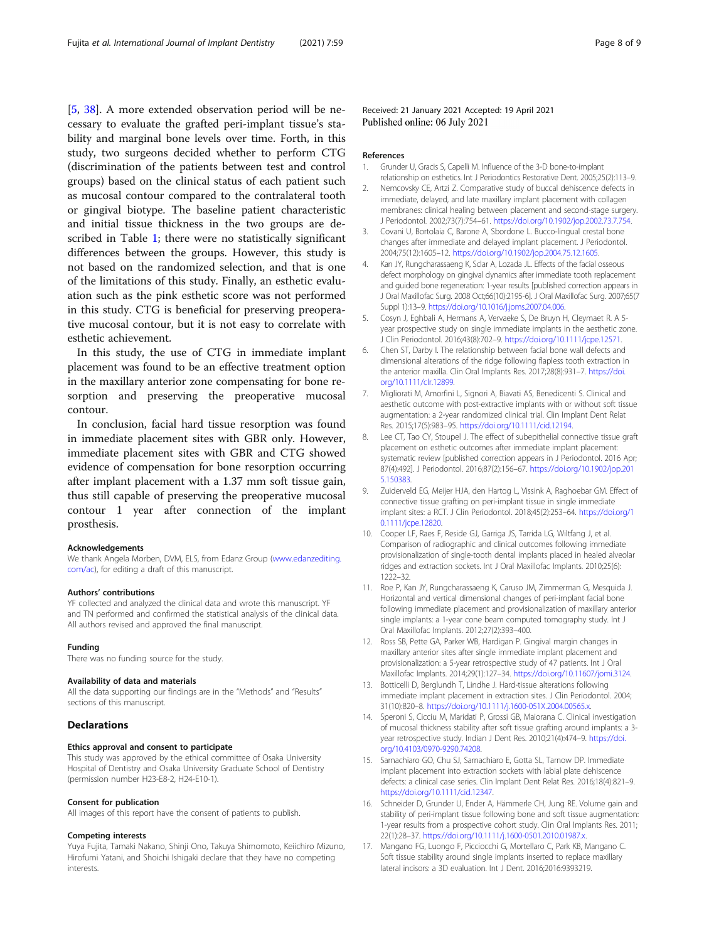<span id="page-7-0"></span>[5, [38](#page-8-0)]. A more extended observation period will be necessary to evaluate the grafted peri-implant tissue's stability and marginal bone levels over time. Forth, in this study, two surgeons decided whether to perform CTG (discrimination of the patients between test and control groups) based on the clinical status of each patient such as mucosal contour compared to the contralateral tooth or gingival biotype. The baseline patient characteristic and initial tissue thickness in the two groups are described in Table [1;](#page-4-0) there were no statistically significant differences between the groups. However, this study is not based on the randomized selection, and that is one of the limitations of this study. Finally, an esthetic evaluation such as the pink esthetic score was not performed in this study. CTG is beneficial for preserving preoperative mucosal contour, but it is not easy to correlate with esthetic achievement.

In this study, the use of CTG in immediate implant placement was found to be an effective treatment option in the maxillary anterior zone compensating for bone resorption and preserving the preoperative mucosal contour.

In conclusion, facial hard tissue resorption was found in immediate placement sites with GBR only. However, immediate placement sites with GBR and CTG showed evidence of compensation for bone resorption occurring after implant placement with a 1.37 mm soft tissue gain, thus still capable of preserving the preoperative mucosal contour 1 year after connection of the implant prosthesis.

#### Acknowledgements

We thank Angela Morben, DVM, ELS, from Edanz Group [\(www.edanzediting.](http://www.edanzediting.com/ac) [com/ac](http://www.edanzediting.com/ac)), for editing a draft of this manuscript.

#### Authors' contributions

YF collected and analyzed the clinical data and wrote this manuscript. YF and TN performed and confirmed the statistical analysis of the clinical data. All authors revised and approved the final manuscript.

#### Funding

There was no funding source for the study.

#### Availability of data and materials

All the data supporting our findings are in the "Methods" and "Results" sections of this manuscript.

#### **Declarations**

#### Ethics approval and consent to participate

This study was approved by the ethical committee of Osaka University Hospital of Dentistry and Osaka University Graduate School of Dentistry (permission number H23-E8-2, H24-E10-1).

#### Consent for publication

All images of this report have the consent of patients to publish.

#### Competing interests

Yuya Fujita, Tamaki Nakano, Shinji Ono, Takuya Shimomoto, Keiichiro Mizuno, Hirofumi Yatani, and Shoichi Ishigaki declare that they have no competing interests.

Received: 21 January 2021 Accepted: 19 April 2021 Published online: 06 July 2021

#### References

- 1. Grunder U, Gracis S, Capelli M. Influence of the 3-D bone-to-implant relationship on esthetics. Int J Periodontics Restorative Dent. 2005;25(2):113–9.
- 2. Nemcovsky CE, Artzi Z. Comparative study of buccal dehiscence defects in immediate, delayed, and late maxillary implant placement with collagen membranes: clinical healing between placement and second-stage surgery. J Periodontol. 2002;73(7):754–61. [https://doi.org/10.1902/jop.2002.73.7.754.](https://doi.org/10.1902/jop.2002.73.7.754)
- 3. Covani U, Bortolaia C, Barone A, Sbordone L. Bucco-lingual crestal bone changes after immediate and delayed implant placement. J Periodontol. 2004;75(12):1605–12. [https://doi.org/10.1902/jop.2004.75.12.1605.](https://doi.org/10.1902/jop.2004.75.12.1605)
- 4. Kan JY, Rungcharassaeng K, Sclar A, Lozada JL. Effects of the facial osseous defect morphology on gingival dynamics after immediate tooth replacement and guided bone regeneration: 1-year results [published correction appears in J Oral Maxillofac Surg. 2008 Oct;66(10):2195-6]. J Oral Maxillofac Surg. 2007;65(7 Suppl 1):13–9. <https://doi.org/10.1016/j.joms.2007.04.006>.
- 5. Cosyn J, Eghbali A, Hermans A, Vervaeke S, De Bruyn H, Cleymaet R. A 5 year prospective study on single immediate implants in the aesthetic zone. J Clin Periodontol. 2016;43(8):702–9. [https://doi.org/10.1111/jcpe.12571.](https://doi.org/10.1111/jcpe.12571)
- 6. Chen ST, Darby I. The relationship between facial bone wall defects and dimensional alterations of the ridge following flapless tooth extraction in the anterior maxilla. Clin Oral Implants Res. 2017;28(8):931–7. [https://doi.](https://doi.org/10.1111/clr.12899) [org/10.1111/clr.12899.](https://doi.org/10.1111/clr.12899)
- 7. Migliorati M, Amorfini L, Signori A, Biavati AS, Benedicenti S. Clinical and aesthetic outcome with post-extractive implants with or without soft tissue augmentation: a 2-year randomized clinical trial. Clin Implant Dent Relat Res. 2015;17(5):983–95. <https://doi.org/10.1111/cid.12194>.
- 8. Lee CT, Tao CY, Stoupel J. The effect of subepithelial connective tissue graft placement on esthetic outcomes after immediate implant placement: systematic review [published correction appears in J Periodontol. 2016 Apr; 87(4):492]. J Periodontol. 2016;87(2):156–67. [https://doi.org/10.1902/jop.201](https://doi.org/10.1902/jop.2015.150383) [5.150383.](https://doi.org/10.1902/jop.2015.150383)
- 9. Zuiderveld EG, Meijer HJA, den Hartog L, Vissink A, Raghoebar GM. Effect of connective tissue grafting on peri-implant tissue in single immediate implant sites: a RCT. J Clin Periodontol. 2018;45(2):253–64. [https://doi.org/1](https://doi.org/10.1111/jcpe.12820) [0.1111/jcpe.12820.](https://doi.org/10.1111/jcpe.12820)
- 10. Cooper LF, Raes F, Reside GJ, Garriga JS, Tarrida LG, Wiltfang J, et al. Comparison of radiographic and clinical outcomes following immediate provisionalization of single-tooth dental implants placed in healed alveolar ridges and extraction sockets. Int J Oral Maxillofac Implants. 2010;25(6): 1222–32.
- 11. Roe P, Kan JY, Rungcharassaeng K, Caruso JM, Zimmerman G, Mesquida J. Horizontal and vertical dimensional changes of peri-implant facial bone following immediate placement and provisionalization of maxillary anterior single implants: a 1-year cone beam computed tomography study. Int J Oral Maxillofac Implants. 2012;27(2):393–400.
- 12. Ross SB, Pette GA, Parker WB, Hardigan P. Gingival margin changes in maxillary anterior sites after single immediate implant placement and provisionalization: a 5-year retrospective study of 47 patients. Int J Oral Maxillofac Implants. 2014;29(1):127–34. [https://doi.org/10.11607/jomi.3124.](https://doi.org/10.11607/jomi.3124)
- 13. Botticelli D, Berglundh T, Lindhe J. Hard-tissue alterations following immediate implant placement in extraction sites. J Clin Periodontol. 2004; 31(10):820–8. [https://doi.org/10.1111/j.1600-051X.2004.00565.x.](https://doi.org/10.1111/j.1600-051X.2004.00565.x)
- 14. Speroni S, Cicciu M, Maridati P, Grossi GB, Maiorana C. Clinical investigation of mucosal thickness stability after soft tissue grafting around implants: a 3 year retrospective study. Indian J Dent Res. 2010;21(4):474–9. [https://doi.](https://doi.org/10.4103/0970-9290.74208) [org/10.4103/0970-9290.74208.](https://doi.org/10.4103/0970-9290.74208)
- 15. Sarnachiaro GO, Chu SJ, Sarnachiaro E, Gotta SL, Tarnow DP. Immediate implant placement into extraction sockets with labial plate dehiscence defects: a clinical case series. Clin Implant Dent Relat Res. 2016;18(4):821–9. [https://doi.org/10.1111/cid.12347.](https://doi.org/10.1111/cid.12347)
- 16. Schneider D, Grunder U, Ender A, Hämmerle CH, Jung RE. Volume gain and stability of peri-implant tissue following bone and soft tissue augmentation: 1-year results from a prospective cohort study. Clin Oral Implants Res. 2011; 22(1):28–37. [https://doi.org/10.1111/j.1600-0501.2010.01987.x.](https://doi.org/10.1111/j.1600-0501.2010.01987.x)
- 17. Mangano FG, Luongo F, Picciocchi G, Mortellaro C, Park KB, Mangano C. Soft tissue stability around single implants inserted to replace maxillary lateral incisors: a 3D evaluation. Int J Dent. 2016;2016:9393219.